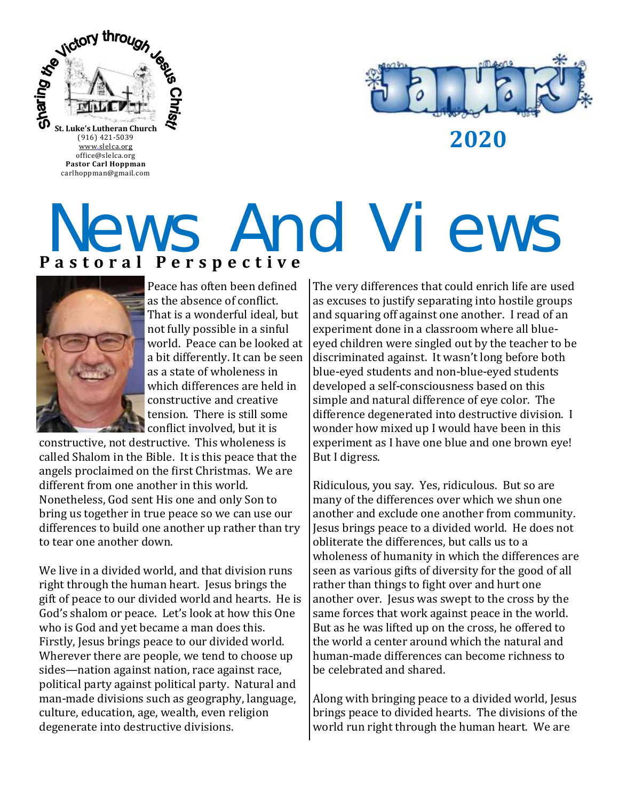

**2020**

office@slelca.org **Pastor Carl Hoppman** carlhoppman@gmail.com

## **P a s t o r a l P e r s p e c t i v e** News And Views



Peace has often been defined as the absence of conflict. That is a wonderful ideal, but not fully possible in a sinful world. Peace can be looked at a bit differently. It can be seen as a state of wholeness in which differences are held in constructive and creative tension. There is still some conflict involved, but it is

constructive, not destructive. This wholeness is called Shalom in the Bible. It is this peace that the angels proclaimed on the first Christmas. We are different from one another in this world. Nonetheless, God sent His one and only Son to bring us together in true peace so we can use our differences to build one another up rather than try to tear one another down.

We live in a divided world, and that division runs right through the human heart. Jesus brings the gift of peace to our divided world and hearts. He is God's shalom or peace. Let's look at how this One who is God and yet became a man does this. Firstly, Jesus brings peace to our divided world. Wherever there are people, we tend to choose up sides—nation against nation, race against race, political party against political party. Natural and man-made divisions such as geography, language, culture, education, age, wealth, even religion degenerate into destructive divisions.

The very differences that could enrich life are used as excuses to justify separating into hostile groups and squaring off against one another. I read of an experiment done in a classroom where all blueeyed children were singled out by the teacher to be discriminated against. It wasn't long before both blue-eyed students and non-blue-eyed students developed a self-consciousness based on this simple and natural difference of eye color. The difference degenerated into destructive division. I wonder how mixed up I would have been in this experiment as I have one blue and one brown eye! But I digress.

Ridiculous, you say. Yes, ridiculous. But so are many of the differences over which we shun one another and exclude one another from community. Jesus brings peace to a divided world. He does not obliterate the differences, but calls us to a wholeness of humanity in which the differences are seen as various gifts of diversity for the good of all rather than things to fight over and hurt one another over. Jesus was swept to the cross by the same forces that work against peace in the world. But as he was lifted up on the cross, he offered to the world a center around which the natural and human-made differences can become richness to be celebrated and shared.

Along with bringing peace to a divided world, Jesus brings peace to divided hearts. The divisions of the world run right through the human heart. We are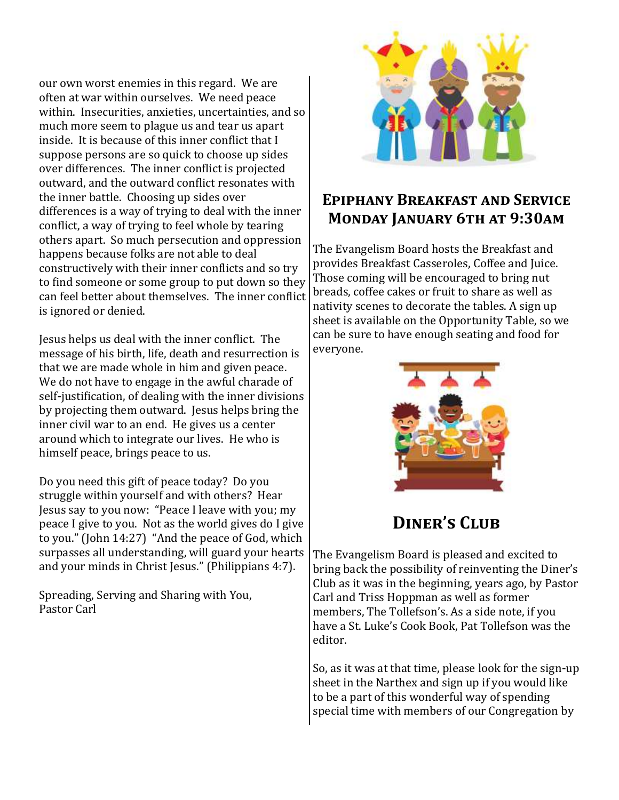our own worst enemies in this regard. We are often at war within ourselves. We need peace within. Insecurities, anxieties, uncertainties, and so much more seem to plague us and tear us apart inside. It is because of this inner conflict that I suppose persons are so quick to choose up sides over differences. The inner conflict is projected outward, and the outward conflict resonates with the inner battle. Choosing up sides over differences is a way of trying to deal with the inner conflict, a way of trying to feel whole by tearing others apart. So much persecution and oppression happens because folks are not able to deal constructively with their inner conflicts and so try to find someone or some group to put down so they can feel better about themselves. The inner conflict is ignored or denied.

Jesus helps us deal with the inner conflict. The message of his birth, life, death and resurrection is that we are made whole in him and given peace. We do not have to engage in the awful charade of self-justification, of dealing with the inner divisions by projecting them outward. Jesus helps bring the inner civil war to an end. He gives us a center around which to integrate our lives. He who is himself peace, brings peace to us.

Do you need this gift of peace today? Do you struggle within yourself and with others? Hear Jesus say to you now: "Peace I leave with you; my peace I give to you. Not as the world gives do I give to you." (John 14:27) "And the peace of God, which surpasses all understanding, will guard your hearts and your minds in Christ Jesus." (Philippians 4:7).

Spreading, Serving and Sharing with You, Pastor Carl



## **Epiphany Breakfast and Service Monday January 6th at 9:30am**

The Evangelism Board hosts the Breakfast and provides Breakfast Casseroles, Coffee and Juice. Those coming will be encouraged to bring nut breads, coffee cakes or fruit to share as well as nativity scenes to decorate the tables. A sign up sheet is available on the Opportunity Table, so we can be sure to have enough seating and food for everyone.



## DINER'S CLUB

The Evangelism Board is pleased and excited to bring back the possibility of reinventing the Diner's Club as it was in the beginning, years ago, by Pastor Carl and Triss Hoppman as well as former members, The Tollefson's. As a side note, if you have a St. Luke's Cook Book, Pat Tollefson was the editor.

So, as it was at that time, please look for the sign-up sheet in the Narthex and sign up if you would like to be a part of this wonderful way of spending special time with members of our Congregation by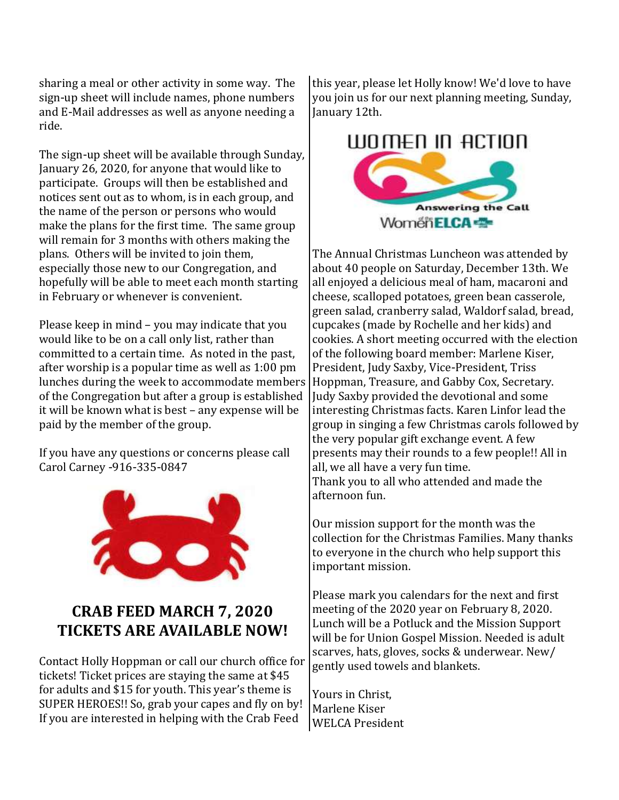sharing a meal or other activity in some way. The sign-up sheet will include names, phone numbers and E-Mail addresses as well as anyone needing a ride.

The sign-up sheet will be available through Sunday, January 26, 2020, for anyone that would like to participate. Groups will then be established and notices sent out as to whom, is in each group, and the name of the person or persons who would make the plans for the first time. The same group will remain for 3 months with others making the plans. Others will be invited to join them, especially those new to our Congregation, and hopefully will be able to meet each month starting in February or whenever is convenient.

Please keep in mind – you may indicate that you would like to be on a call only list, rather than committed to a certain time. As noted in the past, after worship is a popular time as well as 1:00 pm lunches during the week to accommodate members of the Congregation but after a group is established it will be known what is best – any expense will be paid by the member of the group.

If you have any questions or concerns please call Carol Carney -916-335-0847



## **CRAB FEED MARCH 7, 2020 TICKETS ARE AVAILABLE NOW!**

Contact Holly Hoppman or call our church office for tickets! Ticket prices are staying the same at \$45 for adults and \$15 for youth. This year's theme is SUPER HEROES!! So, grab your capes and fly on by! If you are interested in helping with the Crab Feed

this year, please let Holly know! We'd love to have you join us for our next planning meeting, Sunday, January 12th.

## WOMEN IN ACTION



The Annual Christmas Luncheon was attended by about 40 people on Saturday, December 13th. We all enjoyed a delicious meal of ham, macaroni and cheese, scalloped potatoes, green bean casserole, green salad, cranberry salad, Waldorf salad, bread, cupcakes (made by Rochelle and her kids) and cookies. A short meeting occurred with the election of the following board member: Marlene Kiser, President, Judy Saxby, Vice-President, Triss Hoppman, Treasure, and Gabby Cox, Secretary. Judy Saxby provided the devotional and some interesting Christmas facts. Karen Linfor lead the group in singing a few Christmas carols followed by the very popular gift exchange event. A few presents may their rounds to a few people!! All in all, we all have a very fun time. Thank you to all who attended and made the afternoon fun.

Our mission support for the month was the collection for the Christmas Families. Many thanks to everyone in the church who help support this important mission.

Please mark you calendars for the next and first meeting of the 2020 year on February 8, 2020. Lunch will be a Potluck and the Mission Support will be for Union Gospel Mission. Needed is adult scarves, hats, gloves, socks & underwear. New/ gently used towels and blankets.

Yours in Christ, Marlene Kiser WELCA President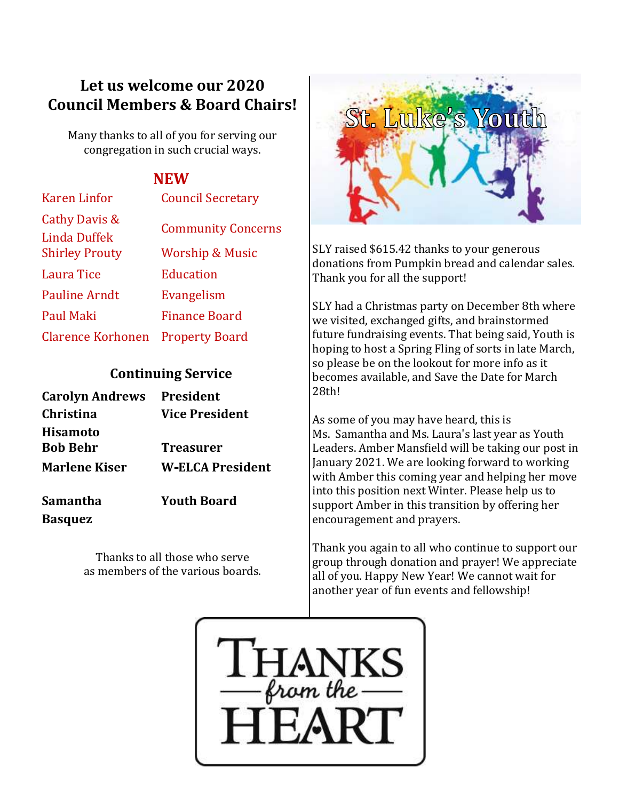## **Let us welcome our 2020 Council Members & Board Chairs!**

Many thanks to all of you for serving our congregation in such crucial ways.

## **NEW**

| <b>Karen Linfor</b>                  | <b>Council Secretary</b>   |
|--------------------------------------|----------------------------|
| Cathy Davis &<br><b>Linda Duffek</b> | <b>Community Concerns</b>  |
| <b>Shirley Prouty</b>                | <b>Worship &amp; Music</b> |
| Laura Tice                           | <b>Education</b>           |
| <b>Pauline Arndt</b>                 | Evangelism                 |
| Paul Maki                            | <b>Finance Board</b>       |
| <b>Clarence Korhonen</b>             | <b>Property Board</b>      |

### **Continuing Service**

| <b>Carolyn Andrews</b> President   |                         |
|------------------------------------|-------------------------|
| <b>Christina</b>                   | <b>Vice President</b>   |
| <b>Hisamoto</b><br><b>Bob Behr</b> | <b>Treasurer</b>        |
| <b>Marlene Kiser</b>               | <b>W-ELCA President</b> |
| Samantha                           | <b>Youth Board</b>      |

**Basquez**

Thanks to all those who serve as members of the various boards.



SLY raised \$615.42 thanks to your generous donations from Pumpkin bread and calendar sales. Thank you for all the support!

SLY had a Christmas party on December 8th where we visited, exchanged gifts, and brainstormed future fundraising events. That being said, Youth is hoping to host a Spring Fling of sorts in late March, so please be on the lookout for more info as it becomes available, and Save the Date for March 28th!

As some of you may have heard, this is Ms. Samantha and Ms. Laura's last year as Youth Leaders. Amber Mansfield will be taking our post in January 2021. We are looking forward to working with Amber this coming year and helping her move into this position next Winter. Please help us to support Amber in this transition by offering her encouragement and prayers.

Thank you again to all who continue to support our group through donation and prayer! We appreciate all of you. Happy New Year! We cannot wait for another year of fun events and fellowship!

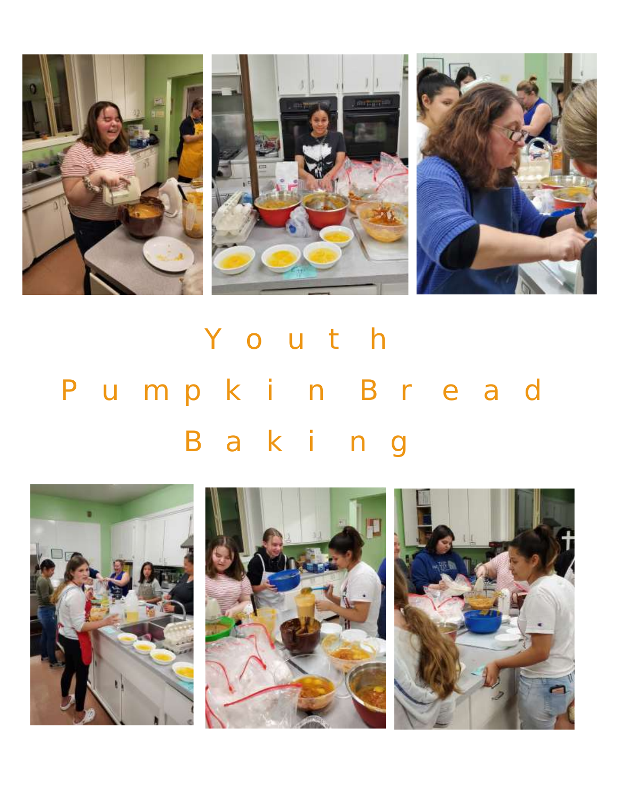

# Youth Pumpkin Bread Baking

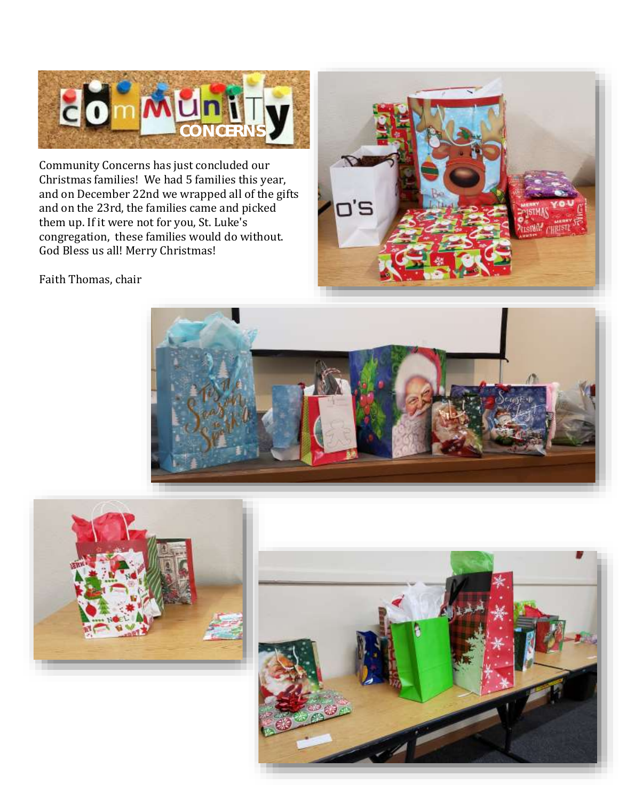

Community Concerns has just concluded our Christmas families! We had 5 families this year, and on December 22nd we wrapped all of the gifts and on the 23rd, the families came and picked them up. If it were not for you, St. Luke's congregation, these families would do without. God Bless us all! Merry Christmas!



Faith Thomas, chair





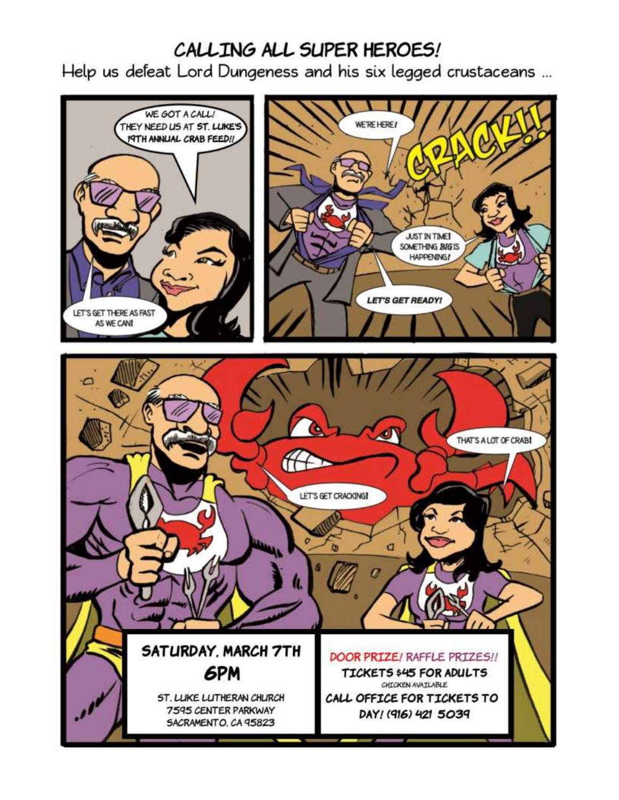## CALLING ALL SUPER HEROES!

Help us defeat Lord Dungeness and his six legged crustaceans ...

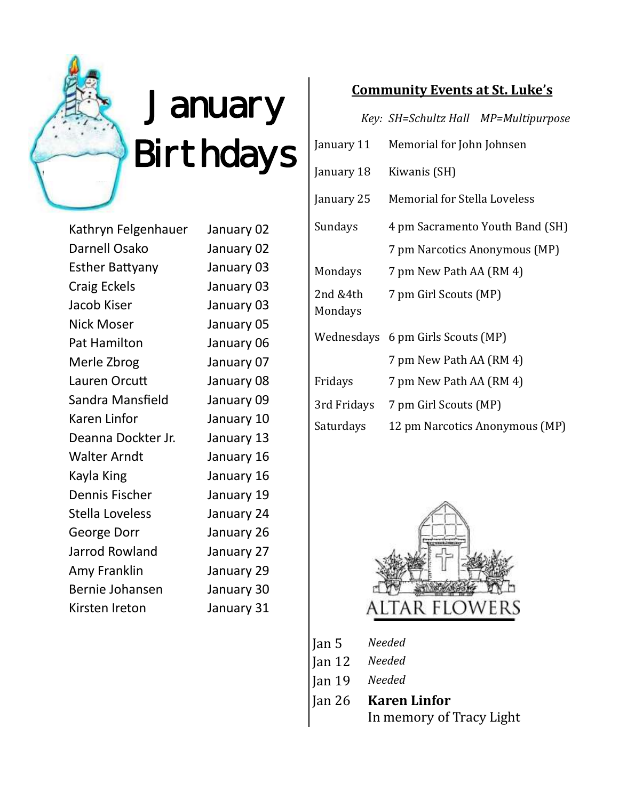

# January Birthdays

Kathryn Felgenhauer January 02 Darnell Osako January 02 Esther Battyany January 03 Craig Eckels January 03 Jacob Kiser January 03 Nick Moser January 05 Pat Hamilton January 06 Merle Zbrog January 07 Lauren Orcutt January 08 Sandra Mansfield January 09 Karen Linfor January 10 Deanna Dockter Jr. January 13 Walter Arndt January 16 Kayla King **January 16** Dennis Fischer January 19 Stella Loveless January 24 George Dorr January 26 Jarrod Rowland January 27 Amy Franklin January 29 Bernie Johansen January 30 Kirsten Ireton January 31

## **Community Events at St. Luke's**

*Key: SH=Schultz Hall MP=Multipurpose*

| January 11          | Memorial for John Johnsen           |
|---------------------|-------------------------------------|
| January 18          | Kiwanis (SH)                        |
| January 25          | <b>Memorial for Stella Loveless</b> |
| Sundays             | 4 pm Sacramento Youth Band (SH)     |
|                     | 7 pm Narcotics Anonymous (MP)       |
| Mondays             | 7 pm New Path AA (RM 4)             |
| 2nd &4th<br>Mondays | 7 pm Girl Scouts (MP)               |
|                     | Wednesdays 6 pm Girls Scouts (MP)   |
|                     | 7 pm New Path AA (RM 4)             |
| Fridays             | 7 pm New Path AA (RM 4)             |
| 3rd Fridays         | 7 pm Girl Scouts (MP)               |
| Saturdays           | 12 pm Narcotics Anonymous (MP)      |



- Jan 5 *Needed*
- Jan 12 *Needed*
- Jan 19 *Needed*
- Jan 26 **Karen Linfor** In memory of Tracy Light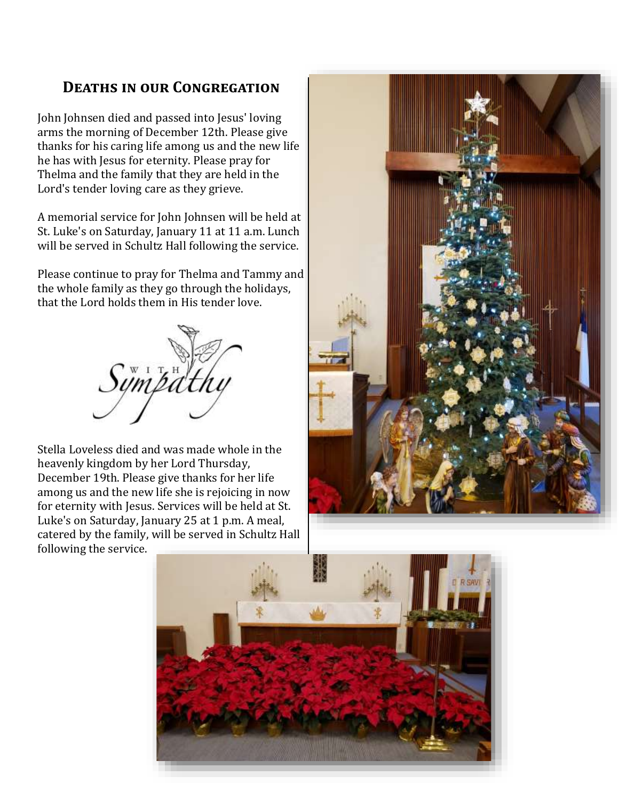## **Deaths in our Congregation**

John Johnsen died and passed into Jesus' loving arms the morning of December 12th. Please give thanks for his caring life among us and the new life he has with Jesus for eternity. Please pray for Thelma and the family that they are held in the Lord's tender loving care as they grieve.

A memorial service for John Johnsen will be held at St. Luke's on Saturday, January 11 at 11 a.m. Lunch will be served in Schultz Hall following the service.

Please continue to pray for Thelma and Tammy and the whole family as they go through the holidays, that the Lord holds them in His tender love.



Stella Loveless died and was made whole in the heavenly kingdom by her Lord Thursday, December 19th. Please give thanks for her life among us and the new life she is rejoicing in now for eternity with Jesus. Services will be held at St. Luke's on Saturday, January 25 at 1 p.m. A meal, catered by the family, will be served in Schultz Hall following the service.



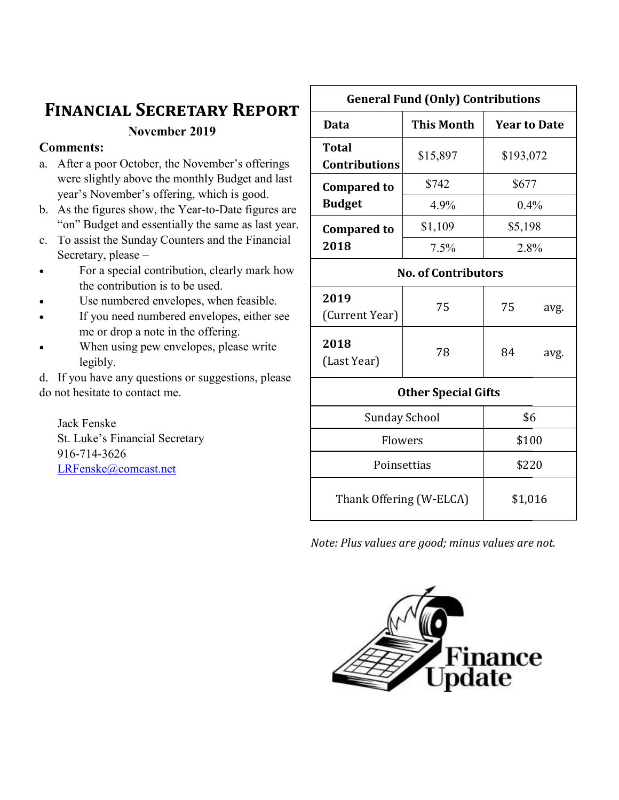## **Financial Secretary Report**

Г

**November 2019**

#### **Comments:**

- a. After a poor October, the November's offerings were slightly above the monthly Budget and last year's November's offering, which is good.
- b. As the figures show, the Year-to-Date figures are "on" Budget and essentially the same as last year.
- c. To assist the Sunday Counters and the Financial Secretary, please –
- For a special contribution, clearly mark how the contribution is to be used.
- Use numbered envelopes, when feasible.
- If you need numbered envelopes, either see me or drop a note in the offering.
- When using pew envelopes, please write legibly.

d. If you have any questions or suggestions, please do not hesitate to contact me.

Jack Fenske St. Luke's Financial Secretary 916-714-3626 [LRFenske@comcast.net](mailto:LRFenske@comcast.net)

| <b>General Fund (Only) Contributions</b> |                   |                     |      |  |
|------------------------------------------|-------------------|---------------------|------|--|
| <b>Data</b>                              | <b>This Month</b> | <b>Year to Date</b> |      |  |
| <b>Total</b><br><b>Contributions</b>     | \$15,897          | \$193,072           |      |  |
| <b>Compared to</b>                       | \$742             | \$677               |      |  |
| <b>Budget</b>                            | 4.9%              | 0.4%                |      |  |
| <b>Compared to</b>                       | \$1,109           | \$5,198             |      |  |
| 2018                                     | 7.5%              | 2.8%                |      |  |
| <b>No. of Contributors</b>               |                   |                     |      |  |
| 2019<br>(Current Year)                   | 75                | 75                  | avg. |  |
| 2018<br>(Last Year)                      | 78                | 84                  | avg. |  |
| <b>Other Special Gifts</b>               |                   |                     |      |  |
| <b>Sunday School</b>                     |                   | \$6                 |      |  |
| Flowers                                  |                   | \$100               |      |  |
| Poinsettias                              |                   | \$220               |      |  |
| Thank Offering (W-ELCA)                  |                   | \$1,016             |      |  |

٦

*Note: Plus values are good; minus values are not.* 

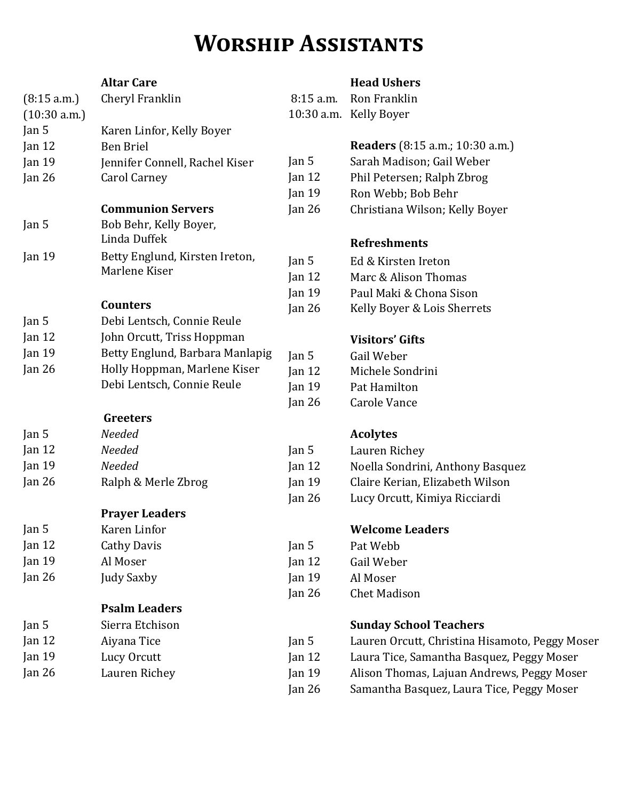## **Worship Assistants**

#### **Altar Care** (8:15 a.m.) Cheryl Franklin (10:30 a.m.) Jan 5 Karen Linfor, Kelly Boyer Jan 12 Ben Briel Jan 19 Jennifer Connell, Rachel Kiser Jan 26 Carol Carney **Communion Servers** Jan 5 Bob Behr, Kelly Boyer, Linda Duffek Jan 19 Betty Englund, Kirsten Ireton, Marlene Kiser **Counters** Jan 5 Debi Lentsch, Connie Reule Jan 12 John Orcutt, Triss Hoppman Jan 19 Betty Englund, Barbara Manlapig Jan 26 Holly Hoppman, Marlene Kiser Debi Lentsch, Connie Reule **Greeters** Jan 5 *Needed* Jan 12 *Needed* Jan 19 *Needed* Jan 26 Ralph & Merle Zbrog **Prayer Leaders** Jan 5 Karen Linfor Jan 12 Cathy Davis Jan 19 Al Moser Jan 26 Judy Saxby **Psalm Leaders** Jan 5 Sierra Etchison Jan 12 Aiyana Tice Jan 19 Lucy Orcutt Jan 26 Lauren Richey Jan  $5$ Jan 19 Pat Hamilton Jan 26 Carole Vance Jan 5 Lauren Richey Jan 5 Pat Webb Jan 12 Gail Weber Jan 19 Al Moser

#### **Head Ushers**

8:15 a.m. Ron Franklin 10:30 a.m. Kelly Boyer

### **Readers** (8:15 a.m.; 10:30 a.m.)

- Jan 5 Sarah Madison; Gail Weber
- Jan 12 Phil Petersen; Ralph Zbrog
- Jan 19 Ron Webb; Bob Behr
- Jan 26 Christiana Wilson; Kelly Boyer

### **Refreshments**

- Jan 5 Ed & Kirsten Ireton
- Jan 12 Marc & Alison Thomas
- Jan 19 Paul Maki & Chona Sison
- Jan 26 Kelly Boyer & Lois Sherrets

## **Visitors' Gifts**

| Jan 5    | Gail Weber       |
|----------|------------------|
| Jan $12$ | Michele Sondrini |
| Jan 19   | Pat Hamilton     |

## **Acolytes**

- 
- Jan 12 Noella Sondrini, Anthony Basquez
- Jan 19 Claire Kerian, Elizabeth Wilson
- Jan 26 Lucy Orcutt, Kimiya Ricciardi

## **Welcome Leaders**

- 
- 
- 
- Jan 26 Chet Madison

## **Sunday School Teachers**

| Jan $5$           | Lauren Orcutt, Christina Hisamoto, Peggy Moser |
|-------------------|------------------------------------------------|
| $\tan 12$         | Laura Tice, Samantha Basquez, Peggy Moser      |
| Jan <sub>19</sub> | Alison Thomas, Lajuan Andrews, Peggy Moser     |
|                   |                                                |

Jan 26 Samantha Basquez, Laura Tice, Peggy Moser